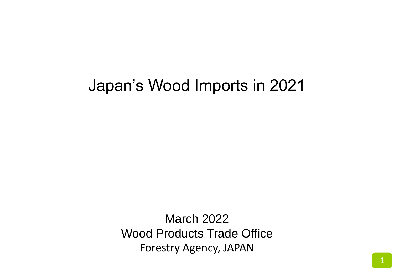# Japan's Wood Imports in 2021

March 2022 Wood Products Trade Office Forestry Agency, JAPAN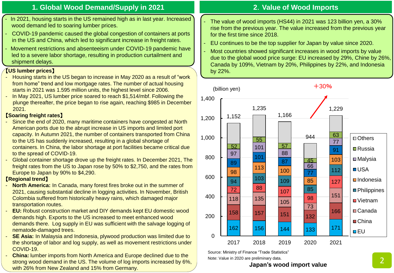### **1. Global Wood Demand/Supply in 2021**

- In 2021, housing starts in the US remained high as in last year. Increased wood demand led to soaring lumber prices.
- COVID-19 pandemic caused the global congestion of containers at ports in the US and China, which led to significant increase in freight rates.
- Movement restrictions and absenteeism under COVID-19 pandemic have led to a severe labor shortage, resulting in production curtailment and shipment delays.

#### 【**US lumber prices**】

- Housing starts in the US began to increase in May 2020 as a result of "work from home" trend and low mortgage rates. The number of actual housing starts in 2021 was 1.595 million units, the highest level since 2006.
- In May 2021, US lumber price soared to reach \$1,514/mbf. Following the plunge thereafter, the price began to rise again, reaching \$985 in December 2021.

#### 【**Soaring freight rates**】

- Since the end of 2020, many maritime containers have congested at North American ports due to the abrupt increase in US imports and limited port capacity. In Autumn 2021, the number of containers transported from China to the US has suddenly increased, resulting in a global shortage of containers. In China, the labor shortage at port facilities became critical due to the spread of COVID-19.
- Global container shortage drove up the freight rates. In December 2021, The freight rates from the US to Japan rose by 50% to \$2,750, and the rates from Europe to Japan by 90% to \$4,290.

#### 【**Regional trend**】

- **North America:** In Canada, many forest fires broke out in the summer of 2021, causing substantial decline in logging activities. In November, British Colombia suffered from historically heavy rains, which damaged major transportation routes.
- **EU:** Robust construction market and DIY demands kept EU domestic wood demands high. Exports to the US increased to meet enhanced wood demands there. Log supply in EU was sufficient with the salvage logging of nematode-damaged trees.
- **SE Asia:** In Malaysia and Indonesia, plywood production was limited due to the shortage of labor and log supply, as well as movement restrictions under COVID-19.
- **China:** lumber imports from North America and Europe declined due to the strong wood demand in the US. The volume of log imports increased by 6%, with 26% from New Zealand and 15% from Germany.

# **2**.**Value of Wood Imports**

- The value of wood imports (HS44) in 2021 was 123 billion yen, a 30% rise from the previous year. The value increased from the previous year for the first time since 2018.
- EU continues to be the top supplier for Japan by value since 2020.
- Most countries showed significant increases in wood imports by value due to the global wood price surge: EU increased by 29%, Chine by 26%, Canada by 109%, Vietnam by 20%, Philippines by 22%, and Indonesia by 22%.



Source: Ministry of Finance "Trade Statistics"

Note: Value in 2020 are preliminary data.

#### **Japan's wood import value**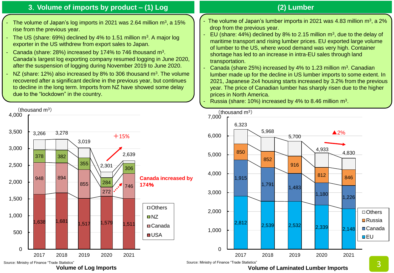## **3**.**Volume of imports by product – (1) Log**

- The volume of Japan's log imports in 2021 was 2.64 million  $m^3$ , a 15% rise from the previous year.
- The US (share: 69%) declined by 4% to 1.51 million  $m^3$ . A major log exporter in the US withdrew from export sales to Japan.
- Canada (share: 28%) increased by 174% to 746 thousand  $m^3$ . Canada's largest log exporting company resumed logging in June 2020, after the suspension of logging during November 2019 to June 2020.
- NZ (share: 12%) also increased by 8% to 306 thousand  $m<sup>3</sup>$ . The volume recovered after a significant decline in the previous year, but continues to decline in the long term. Imports from NZ have showed some delay due to the "lockdown" in the country.



#### **(2) Lumber**

- The volume of Japan's lumber imports in 2021 was 4.83 million  $m^3$ , a 2% drop from the previous year.
- EU (share: 44%) declined by 8% to 2.15 million  $m<sup>3</sup>$ , due to the delay of maritime transport and rising lumber prices. EU exported large volume of lumber to the US, where wood demand was very high. Container shortage has led to an increase in intra-EU sales through land transportation.
- Canada (share 25%) increased by 4% to 1.23 million  $m<sup>3</sup>$ . Canadian lumber made up for the decline in US lumber imports to some extent. In 2021, Japanese 2x4 housing starts increased by 3.2% from the previous year. The price of Canadian lumber has sharply risen due to the higher prices in North America.

- Russia (share: 10%) increased by 4% to 8.46 million  $m^3$ .



**Volume of Laminated Lumber Imports**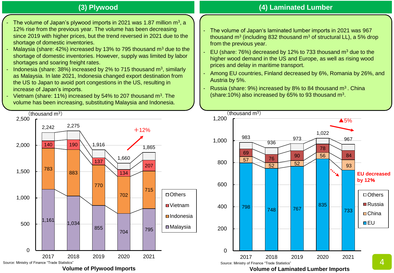# **(3) Plywood**

- The volume of Japan's plywood imports in 2021 was 1.87 million  $m^3$ , a 12% rise from the previous year. The volume has been decreasing since 2019 with higher prices, but the trend reversed in 2021 due to the shortage of domestic inventories.
- Malaysia (share:  $42\%$ ) increased by 13% to 795 thousand  $m<sup>3</sup>$  due to the shortage of domestic inventories. However, supply was limited by labor shortages and soaring freight rates.
- Indonesia (share: 38%) increased by 2% to 715 thousand  $m^3$ , similarly as Malaysia. In late 2021, Indonesia changed export destination from the US to Japan to avoid port congestions in the US, resulting in increase of Japan's imports.
- Vietnam (share: 11%) increased by 54% to 207 thousand  $m<sup>3</sup>$ . The volume has been increasing, substituting Malaysia and Indonesia.



## **(4) Laminated Lumber**

- The volume of Japan's laminated lumber imports in 2021 was 967 thousand m<sup>3</sup> (including 832 thousand m<sup>3</sup> of structural LL), a 5% drop from the previous year.
- EU (share: 76%) decreased by 12% to 733 thousand  $m<sup>3</sup>$  due to the higher wood demand in the US and Europe, as well as rising wood prices and delay in maritime transport.
- Among EU countries, Finland decreased by 6%, Romania by 26%, and Austria by 5%.
- Russia (share:  $9\%$ ) increased by 8% to 84 thousand m<sup>3</sup>. China (share: 10%) also increased by 65% to 93 thousand  $m<sup>3</sup>$ .